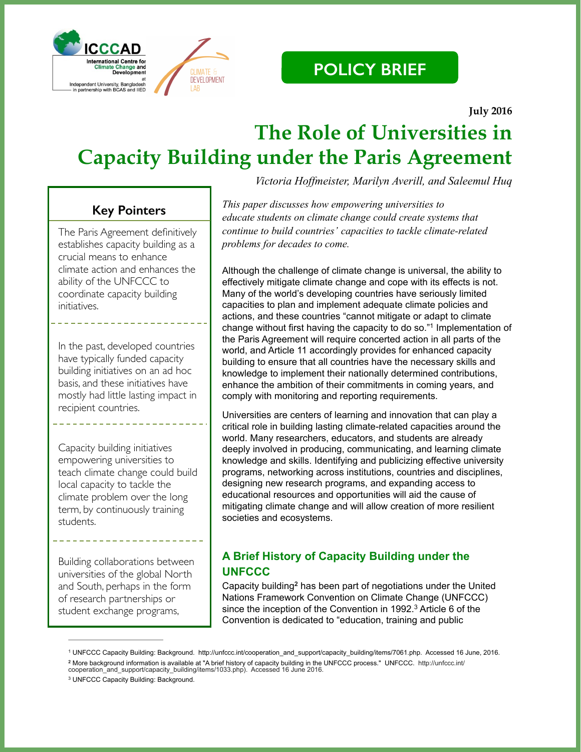



 **July 2016**

## **The Role of Universities in Capacity Building under the Paris Agreement**

## **Key Pointers**

The Paris Agreement definitively establishes capacity building as a crucial means to enhance climate action and enhances the ability of the UNFCCC to coordinate capacity building initiatives.

In the past, developed countries have typically funded capacity building initiatives on an ad hoc basis, and these initiatives have mostly had little lasting impact in recipient countries.

Capacity building initiatives empowering universities to teach climate change could build local capacity to tackle the climate problem over the long term, by continuously training students.

Building collaborations between universities of the global North and South, perhaps in the form of research partnerships or student exchange programs,

*Victoria Hoffmeister, Marilyn Averill, and Saleemul Huq*

*This paper discusses how empowering universities to educate students on climate change could create systems that continue to build countries' capacities to tackle climate-related problems for decades to come.*

Although the challenge of climate change is universal, the ability to effectively mitigate climate change and cope with its effects is not. Many of the world's developing countries have seriously limited capacities to plan and implement adequate climate policies and actions, and these countries "cannot mitigate or adapt to climate change without first having the capacity to do so."<sup>1</sup> Implementation of the Paris Agreement will require concerted action in all parts of the world, and Article 11 accordingly provides for enhanced capacity building to ensure that all countries have the necessary skills and knowledge to implement their nationally determined contributions, enhance the ambition of their commitments in coming years, and comply with monitoring and reporting requirements.

Universities are centers of learning and innovation that can play a critical role in building lasting climate-related capacities around the world. Many researchers, educators, and students are already deeply involved in producing, communicating, and learning climate knowledge and skills. Identifying and publicizing effective university programs, networking across institutions, countries and disciplines, designing new research programs, and expanding access to educational resources and opportunities will aid the cause of mitigating climate change and will allow creation of more resilient societies and ecosystems.

### **A Brief History of Capacity Building under the UNFCCC**

Capacity building<sup>2</sup> has been part of negotiations under the United Nations Framework Convention on Climate Change (UNFCCC) since the inception of the Convention in 1992. $3$  Article 6 of the Convention is dedicated to "education, training and public

UNFCCC Capacity Building: Background. http://unfccc.int/cooperation\_and\_support/capacity\_building/items/7061.php. Accessed 16 June, 2016. <sup>1</sup> <sup>2</sup> More background information is available at "A brief history of capacity building in the UNFCCC process." UNFCCC. http://unfccc.int/ cooperation\_and\_support/capacity\_building/items/1033.php). Accessed 16 June 2016.

<sup>&</sup>lt;sup>3</sup> UNFCCC Capacity Building: Background.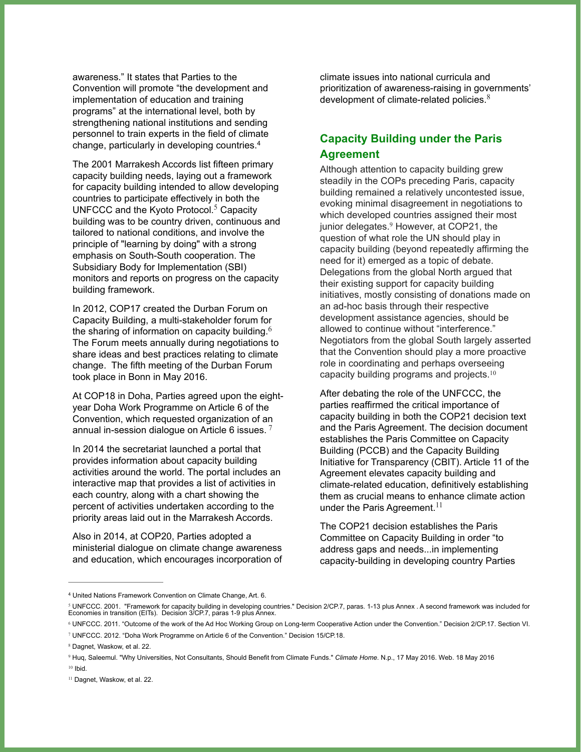awareness." It states that Parties to the Convention will promote "the development and implementation of education and training programs" at the international level, both by strengthening national institutions and sending personnel to train experts in the field of climate change, particularly in developing countries.4

The 2001 Marrakesh Accords list fifteen primary capacity building needs, laying out a framework for capacity building intended to allow developing countries to participate effectively in both the UNFCCC and the Kyoto Protocol.<sup>5</sup> Capacity building was to be country driven, continuous and tailored to national conditions, and involve the principle of "learning by doing" with a strong emphasis on South-South cooperation. The Subsidiary Body for Implementation (SBI) monitors and reports on progress on the capacity building framework.

In 2012, COP17 created the Durban Forum on Capacity Building, a multi-stakeholder forum for the sharing of information on capacity building. $6$ The Forum meets annually during negotiations to share ideas and best practices relating to climate change. The fifth meeting of the Durban Forum took place in Bonn in May 2016.

At COP18 in Doha, Parties agreed upon the eightyear Doha Work Programme on Article 6 of the Convention, which requested organization of an annual in-session dialogue on Article 6 issues.  $7$ 

In 2014 the secretariat launched a portal that provides information about capacity building activities around the world. The portal includes an interactive map that provides a list of activities in each country, along with a chart showing the percent of activities undertaken according to the priority areas laid out in the Marrakesh Accords.

Also in 2014, at COP20, Parties adopted a ministerial dialogue on climate change awareness and education, which encourages incorporation of climate issues into national curricula and prioritization of awareness-raising in governments' development of climate-related policies. $8<sup>8</sup>$ 

#### **Capacity Building under the Paris Agreement**

Although attention to capacity building grew steadily in the COPs preceding Paris, capacity building remained a relatively uncontested issue, evoking minimal disagreement in negotiations to which developed countries assigned their most junior delegates.<sup>9</sup> However, at COP21, the question of what role the UN should play in capacity building (beyond repeatedly affirming the need for it) emerged as a topic of debate. Delegations from the global North argued that their existing support for capacity building initiatives, mostly consisting of donations made on an ad-hoc basis through their respective development assistance agencies, should be allowed to continue without "interference." Negotiators from the global South largely asserted that the Convention should play a more proactive role in coordinating and perhaps overseeing capacity building programs and projects.<sup>10</sup>

After debating the role of the UNFCCC, the parties reaffirmed the critical importance of capacity building in both the COP21 decision text and the Paris Agreement. The decision document establishes the Paris Committee on Capacity Building (PCCB) and the Capacity Building Initiative for Transparency (CBIT). Article 11 of the Agreement elevates capacity building and climate-related education, definitively establishing them as crucial means to enhance climate action under the Paris Agreement.<sup>11</sup>

The COP21 decision establishes the Paris Committee on Capacity Building in order "to address gaps and needs...in implementing capacity-building in developing country Parties

United Nations Framework Convention on Climate Change, Art. 6. <sup>4</sup>

<sup>&</sup>lt;sup>s</sup> UNFCCC. 2001. "Framework for capacity building in developing countries." Decision 2/CP.7, paras. 1-13 plus Annex . A second framework was included for<br>Economies in transition (EITs). Decision 3/CP.7, paras 1-9 plus

UNFCCC. 2011. "Outcome of the work of the Ad Hoc Working Group on Long-term Cooperative Action under the Convention." Decision 2/CP.17. Section VI. <sup>6</sup>

UNFCCC. 2012. "Doha Work Programme on Article 6 of the Convention." Decision 15/CP.18. <sup>7</sup>

<sup>&</sup>lt;sup>8</sup> Dagnet, Waskow, et al. 22.

<sup>&</sup>lt;sup>9</sup> Huq, Saleemul. "Why Universities, Not Consultants, Should Benefit from Climate Funds." Climate Home. N.p., 17 May 2016. Web. 18 May 2016  $10$  Ibid.

<sup>&</sup>lt;sup>11</sup> Dagnet, Waskow, et al. 22.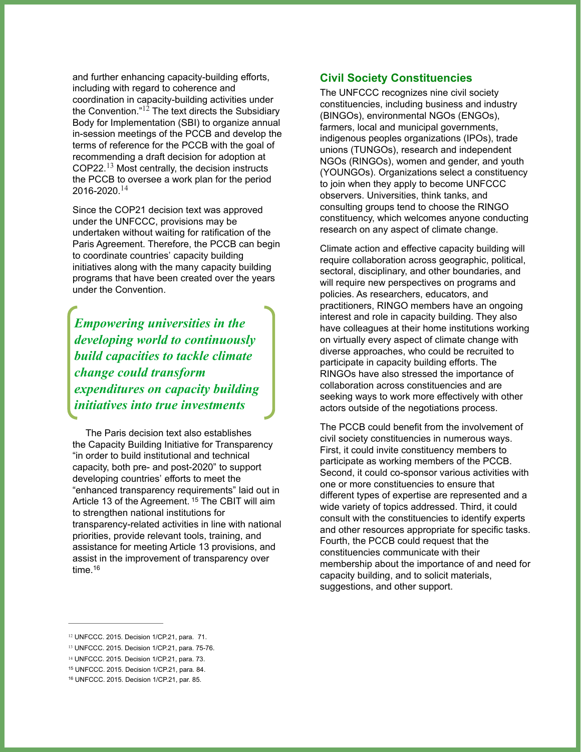and further enhancing capacity-building efforts, including with regard to coherence and coordination in capacity-building activities under the Convention." $12$  The text directs the Subsidiary Body for Implementation (SBI) to organize annual in-session meetings of the PCCB and develop the terms of reference for the PCCB with the goal of recommending a draft decision for adoption at COP22. $^{13}$  Most centrally, the decision instructs the PCCB to oversee a work plan for the period 2016-2020.<sup>14</sup>

Since the COP21 decision text was approved under the UNFCCC, provisions may be undertaken without waiting for ratification of the Paris Agreement. Therefore, the PCCB can begin to coordinate countries' capacity building initiatives along with the many capacity building programs that have been created over the years under the Convention.

*Empowering universities in the developing world to continuously build capacities to tackle climate change could transform expenditures on capacity building initiatives into true investments*

The Paris decision text also establishes the Capacity Building Initiative for Transparency "in order to build institutional and technical capacity, both pre- and post-2020" to support developing countries' efforts to meet the "enhanced transparency requirements" laid out in Article 13 of the Agreement. <sup>15</sup> The CBIT will aim to strengthen national institutions for transparency-related activities in line with national priorities, provide relevant tools, training, and assistance for meeting Article 13 provisions, and assist in the improvement of transparency over time.16

#### **Civil Society Constituencies**

The UNFCCC recognizes nine civil society constituencies, including business and industry (BINGOs), environmental NGOs (ENGOs), farmers, local and municipal governments, indigenous peoples organizations (IPOs), trade unions (TUNGOs), research and independent NGOs (RINGOs), women and gender, and youth (YOUNGOs). Organizations select a constituency to join when they apply to become UNFCCC observers. Universities, think tanks, and consulting groups tend to choose the RINGO constituency, which welcomes anyone conducting research on any aspect of climate change.

Climate action and effective capacity building will require collaboration across geographic, political, sectoral, disciplinary, and other boundaries, and will require new perspectives on programs and policies. As researchers, educators, and practitioners, RINGO members have an ongoing interest and role in capacity building. They also have colleagues at their home institutions working on virtually every aspect of climate change with diverse approaches, who could be recruited to participate in capacity building efforts. The RINGOs have also stressed the importance of collaboration across constituencies and are seeking ways to work more effectively with other actors outside of the negotiations process.

The PCCB could benefit from the involvement of civil society constituencies in numerous ways. First, it could invite constituency members to participate as working members of the PCCB. Second, it could co-sponsor various activities with one or more constituencies to ensure that different types of expertise are represented and a wide variety of topics addressed. Third, it could consult with the constituencies to identify experts and other resources appropriate for specific tasks. Fourth, the PCCB could request that the constituencies communicate with their membership about the importance of and need for capacity building, and to solicit materials, suggestions, and other support.

<sup>&</sup>lt;sup>12</sup> UNFCCC. 2015. Decision 1/CP.21, para. 71.

<sup>13</sup> UNFCCC. 2015. Decision 1/CP.21, para. 75-76.

<sup>&</sup>lt;sup>14</sup> UNFCCC. 2015. Decision 1/CP.21, para. 73.

UNFCCC. 2015. Decision 1/CP.21, para. 84. <sup>15</sup>

UNFCCC. 2015. Decision 1/CP.21, par. 85. <sup>16</sup>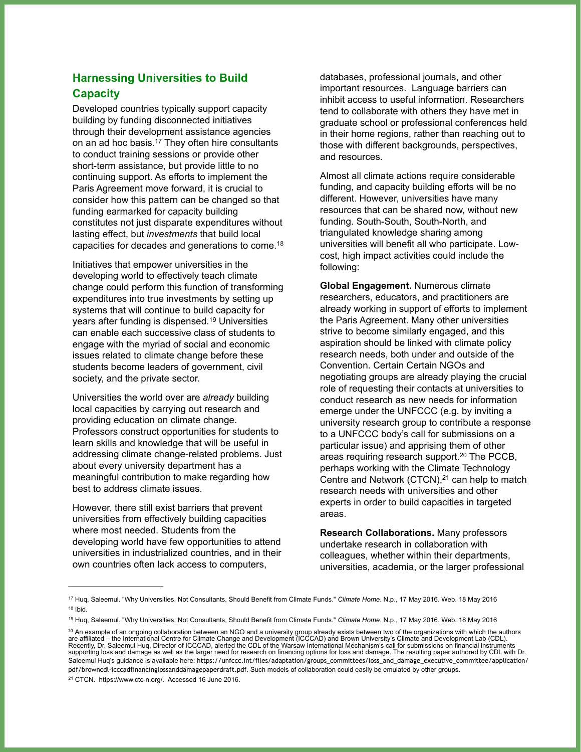### **Harnessing Universities to Build Capacity**

Developed countries typically support capacity building by funding disconnected initiatives through their development assistance agencies on an ad hoc basis.<sup>17</sup> They often hire consultants to conduct training sessions or provide other short-term assistance, but provide little to no continuing support. As efforts to implement the Paris Agreement move forward, it is crucial to consider how this pattern can be changed so that funding earmarked for capacity building constitutes not just disparate expenditures without lasting effect, but *investments* that build local capacities for decades and generations to come.18

Initiatives that empower universities in the developing world to effectively teach climate change could perform this function of transforming expenditures into true investments by setting up systems that will continue to build capacity for years after funding is dispensed.<sup>19</sup> Universities can enable each successive class of students to engage with the myriad of social and economic issues related to climate change before these students become leaders of government, civil society, and the private sector.

Universities the world over are *already* building local capacities by carrying out research and providing education on climate change. Professors construct opportunities for students to learn skills and knowledge that will be useful in addressing climate change-related problems. Just about every university department has a meaningful contribution to make regarding how best to address climate issues.

However, there still exist barriers that prevent universities from effectively building capacities where most needed. Students from the developing world have few opportunities to attend universities in industrialized countries, and in their own countries often lack access to computers,

databases, professional journals, and other important resources. Language barriers can inhibit access to useful information. Researchers tend to collaborate with others they have met in graduate school or professional conferences held in their home regions, rather than reaching out to those with different backgrounds, perspectives, and resources.

Almost all climate actions require considerable funding, and capacity building efforts will be no different. However, universities have many resources that can be shared now, without new funding. South-South, South-North, and triangulated knowledge sharing among universities will benefit all who participate. Lowcost, high impact activities could include the following:

**Global Engagement.** Numerous climate researchers, educators, and practitioners are already working in support of efforts to implement the Paris Agreement. Many other universities strive to become similarly engaged, and this aspiration should be linked with climate policy research needs, both under and outside of the Convention. Certain Certain NGOs and negotiating groups are already playing the crucial role of requesting their contacts at universities to conduct research as new needs for information emerge under the UNFCCC (e.g. by inviting a university research group to contribute a response to a UNFCCC body's call for submissions on a particular issue) and apprising them of other areas requiring research support. $20$  The PCCB, perhaps working with the Climate Technology Centre and Network (CTCN), $21$  can help to match research needs with universities and other experts in order to build capacities in targeted areas.

**Research Collaborations.** Many professors undertake research in collaboration with colleagues, whether within their departments, universities, academia, or the larger professional

<sup>&</sup>lt;sup>17</sup> Huq, Saleemul. "Why Universities, Not Consultants, Should Benefit from Climate Funds." Climate Home. N.p., 17 May 2016. Web. 18 May 2016  $18$  Ihid.

<sup>&</sup>lt;sup>19</sup> Huq, Saleemul. "Why Universities, Not Consultants, Should Benefit from Climate Funds." Climate Home. N.p., 17 May 2016. Web. 18 May 2016

<sup>&</sup>lt;sup>20</sup> An example of an ongoing collaboration between an NGO and a university group already exists between two of the organizations with which the authors<br>are affiliated – the International Centre for Climate Change and Deve Recently, Dr. Saleemul Huq, Director of ICCCAD, alerted the CDL of the Warsaw International Mechanism's call for submissions on financial instruments<br>supporting loss and damage as well as the larger need for research on fi Saleemul Huq's guidance is available here: [https://unfccc.int/files/adaptation/groups\\_committees/loss\\_and\\_damage\\_executive\\_committee/application/](https://unfccc.int/files/adaptation/groups_committees/loss_and_damage_executive_committee/application/pdf/browncdl-icccadfinancinglossanddamagepaperdraft.pdf) pdf/browncdl-icccadfinancinglossanddamagepaperdraft.pdf. Such models of collaboration could easily be emulated by other groups. <sup>21</sup> CTCN. https://www.ctc-n.org/. Accessed 16 June 2016.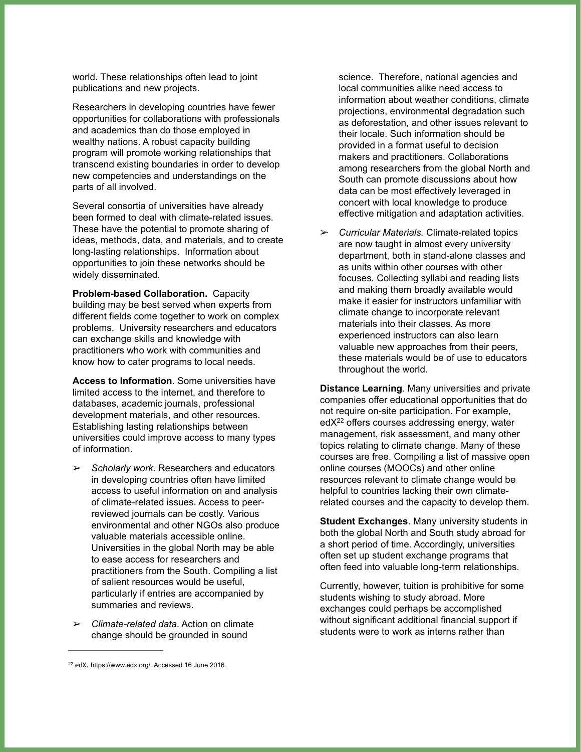world. These relationships often lead to joint publications and new projects.

Researchers in developing countries have fewer opportunities for collaborations with professionals and academics than do those employed in wealthy nations. A robust capacity building program will promote working relationships that transcend existing boundaries in order to develop new competencies and understandings on the parts of all involved.

Several consortia of universities have already been formed to deal with climate-related issues. These have the potential to promote sharing of ideas, methods, data, and materials, and to create long-lasting relationships. Information about opportunities to join these networks should be widely disseminated.

**Problem-based Collaboration.** Capacity building may be best served when experts from different fields come together to work on complex problems. University researchers and educators can exchange skills and knowledge with practitioners who work with communities and know how to cater programs to local needs.

**Access to Information**. Some universities have limited access to the internet, and therefore to databases, academic journals, professional development materials, and other resources. Establishing lasting relationships between universities could improve access to many types of information.

- ➢ *Scholarly work.* Researchers and educators in developing countries often have limited access to useful information on and analysis of climate-related issues. Access to peerreviewed journals can be costly. Various environmental and other NGOs also produce valuable materials accessible online. Universities in the global North may be able to ease access for researchers and practitioners from the South. Compiling a list of salient resources would be useful, particularly if entries are accompanied by summaries and reviews.
- ➢ *Climate-related data*. Action on climate change should be grounded in sound

science. Therefore, national agencies and local communities alike need access to information about weather conditions, climate projections, environmental degradation such as deforestation, and other issues relevant to their locale. Such information should be provided in a format useful to decision makers and practitioners. Collaborations among researchers from the global North and South can promote discussions about how data can be most effectively leveraged in concert with local knowledge to produce effective mitigation and adaptation activities.

➢ *Curricular Materials.* Climate-related topics are now taught in almost every university department, both in stand-alone classes and as units within other courses with other focuses. Collecting syllabi and reading lists and making them broadly available would make it easier for instructors unfamiliar with climate change to incorporate relevant materials into their classes. As more experienced instructors can also learn valuable new approaches from their peers, these materials would be of use to educators throughout the world.

**Distance Learning**. Many universities and private companies offer educational opportunities that do not require on-site participation. For example,  $edX<sup>22</sup>$  offers courses addressing energy, water management, risk assessment, and many other topics relating to climate change. Many of these courses are free. Compiling a list of massive open online courses (MOOCs) and other online resources relevant to climate change would be helpful to countries lacking their own climaterelated courses and the capacity to develop them.

**Student Exchanges**. Many university students in both the global North and South study abroad for a short period of time. Accordingly, universities often set up student exchange programs that often feed into valuable long-term relationships.

Currently, however, tuition is prohibitive for some students wishing to study abroad. More exchanges could perhaps be accomplished without significant additional financial support if students were to work as interns rather than

<sup>&</sup>lt;sup>22</sup> edX. https://www.edx.org/. Accessed 16 June 2016.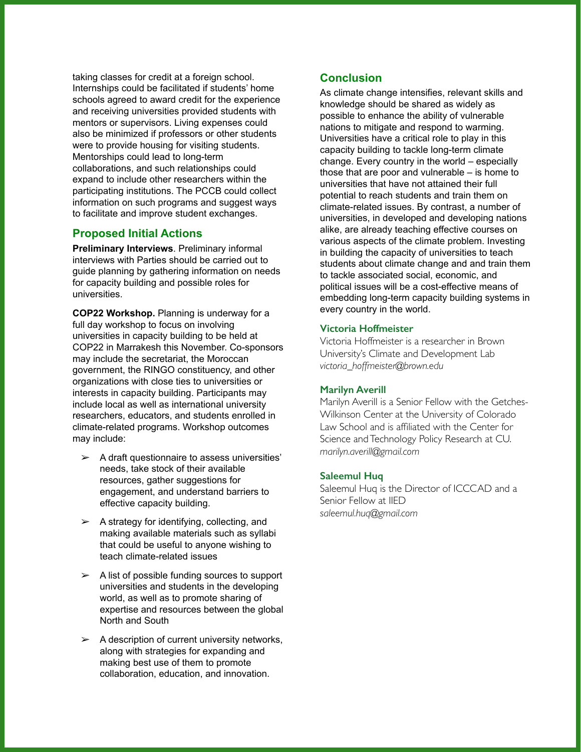taking classes for credit at a foreign school. Internships could be facilitated if students' home schools agreed to award credit for the experience and receiving universities provided students with mentors or supervisors. Living expenses could also be minimized if professors or other students were to provide housing for visiting students. Mentorships could lead to long-term collaborations, and such relationships could expand to include other researchers within the participating institutions. The PCCB could collect information on such programs and suggest ways to facilitate and improve student exchanges.

#### **Proposed Initial Actions**

**Preliminary Interviews**. Preliminary informal interviews with Parties should be carried out to guide planning by gathering information on needs for capacity building and possible roles for universities.

**COP22 Workshop.** Planning is underway for a full day workshop to focus on involving universities in capacity building to be held at COP22 in Marrakesh this November. Co-sponsors may include the secretariat, the Moroccan government, the RINGO constituency, and other organizations with close ties to universities or interests in capacity building. Participants may include local as well as international university researchers, educators, and students enrolled in climate-related programs. Workshop outcomes may include:

- $\geq$  A draft questionnaire to assess universities' needs, take stock of their available resources, gather suggestions for engagement, and understand barriers to effective capacity building.
- $\geq$  A strategy for identifying, collecting, and making available materials such as syllabi that could be useful to anyone wishing to teach climate-related issues
- ➢ A list of possible funding sources to support universities and students in the developing world, as well as to promote sharing of expertise and resources between the global North and South
- $\geq$  A description of current university networks, along with strategies for expanding and making best use of them to promote collaboration, education, and innovation.

#### **Conclusion**

As climate change intensifies, relevant skills and knowledge should be shared as widely as possible to enhance the ability of vulnerable nations to mitigate and respond to warming. Universities have a critical role to play in this capacity building to tackle long-term climate change. Every country in the world – especially those that are poor and vulnerable – is home to universities that have not attained their full potential to reach students and train them on climate-related issues. By contrast, a number of universities, in developed and developing nations alike, are already teaching effective courses on various aspects of the climate problem. Investing in building the capacity of universities to teach students about climate change and and train them to tackle associated social, economic, and political issues will be a cost-effective means of embedding long-term capacity building systems in every country in the world.

#### **Victoria Hoffmeister**

Victoria Hoffmeister is a researcher in Brown University's Climate and Development Lab *victoria\_hoffmeister@brown.edu* 

#### **Marilyn Averill**

Marilyn Averill is a Senior Fellow with the Getches-Wilkinson Center at the University of Colorado Law School and is affiliated with the Center for Science and Technology Policy Research at CU. *marilyn.averill@gmail.com*

#### **Saleemul Huq**

Saleemul Huq is the Director of ICCCAD and a Senior Fellow at IIED *saleemul.huq@gmail.com*